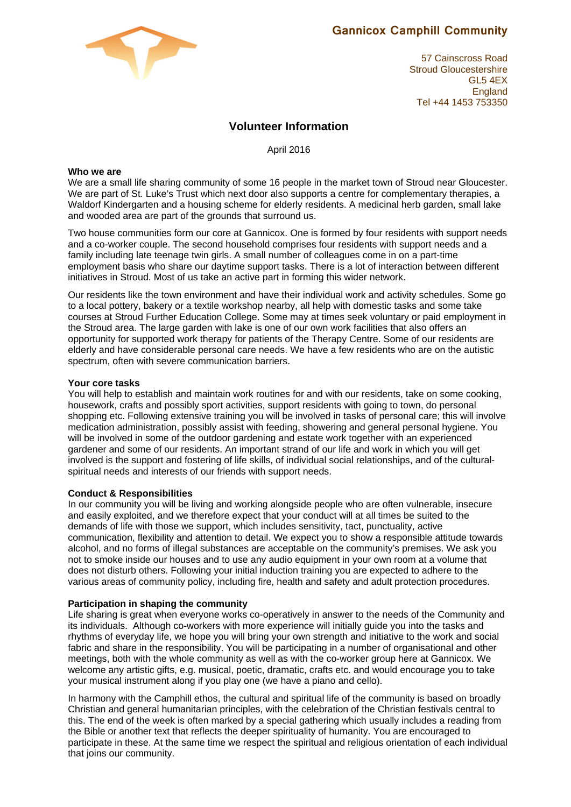# **Gannicox Camphill Community**

57 Cainscross Road Stroud Gloucestershire GL5 4EX **England** Tel +44 1453 753350

# **Volunteer Information**

April 2016

# **Who we are**

We are a small life sharing community of some 16 people in the market town of Stroud near Gloucester. We are part of St. Luke's Trust which next door also supports a centre for complementary therapies, a Waldorf Kindergarten and a housing scheme for elderly residents. A medicinal herb garden, small lake and wooded area are part of the grounds that surround us.

Two house communities form our core at Gannicox. One is formed by four residents with support needs and a co-worker couple. The second household comprises four residents with support needs and a family including late teenage twin girls. A small number of colleagues come in on a part-time employment basis who share our daytime support tasks. There is a lot of interaction between different initiatives in Stroud. Most of us take an active part in forming this wider network.

Our residents like the town environment and have their individual work and activity schedules. Some go to a local pottery, bakery or a textile workshop nearby, all help with domestic tasks and some take courses at Stroud Further Education College. Some may at times seek voluntary or paid employment in the Stroud area. The large garden with lake is one of our own work facilities that also offers an opportunity for supported work therapy for patients of the Therapy Centre. Some of our residents are elderly and have considerable personal care needs. We have a few residents who are on the autistic spectrum, often with severe communication barriers.

# **Your core tasks**

You will help to establish and maintain work routines for and with our residents, take on some cooking, housework, crafts and possibly sport activities, support residents with going to town, do personal shopping etc. Following extensive training you will be involved in tasks of personal care; this will involve medication administration, possibly assist with feeding, showering and general personal hygiene. You will be involved in some of the outdoor gardening and estate work together with an experienced gardener and some of our residents. An important strand of our life and work in which you will get involved is the support and fostering of life skills, of individual social relationships, and of the culturalspiritual needs and interests of our friends with support needs.

# **Conduct & Responsibilities**

In our community you will be living and working alongside people who are often vulnerable, insecure and easily exploited, and we therefore expect that your conduct will at all times be suited to the demands of life with those we support, which includes sensitivity, tact, punctuality, active communication, flexibility and attention to detail. We expect you to show a responsible attitude towards alcohol, and no forms of illegal substances are acceptable on the community's premises. We ask you not to smoke inside our houses and to use any audio equipment in your own room at a volume that does not disturb others. Following your initial induction training you are expected to adhere to the various areas of community policy, including fire, health and safety and adult protection procedures.

#### **Participation in shaping the community**

Life sharing is great when everyone works co-operatively in answer to the needs of the Community and its individuals. Although co-workers with more experience will initially guide you into the tasks and rhythms of everyday life, we hope you will bring your own strength and initiative to the work and social fabric and share in the responsibility. You will be participating in a number of organisational and other meetings, both with the whole community as well as with the co-worker group here at Gannicox. We welcome any artistic gifts, e.g. musical, poetic, dramatic, crafts etc. and would encourage you to take your musical instrument along if you play one (we have a piano and cello).

In harmony with the Camphill ethos, the cultural and spiritual life of the community is based on broadly Christian and general humanitarian principles, with the celebration of the Christian festivals central to this. The end of the week is often marked by a special gathering which usually includes a reading from the Bible or another text that reflects the deeper spirituality of humanity. You are encouraged to participate in these. At the same time we respect the spiritual and religious orientation of each individual that joins our community.